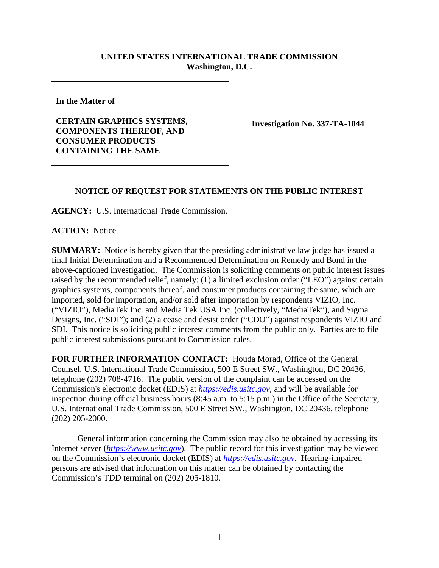## **UNITED STATES INTERNATIONAL TRADE COMMISSION Washington, D.C.**

**In the Matter of**

**CERTAIN GRAPHICS SYSTEMS, COMPONENTS THEREOF, AND CONSUMER PRODUCTS CONTAINING THE SAME**

**Investigation No. 337-TA-1044**

## **NOTICE OF REQUEST FOR STATEMENTS ON THE PUBLIC INTEREST**

**AGENCY:** U.S. International Trade Commission.

**ACTION:** Notice.

**SUMMARY:** Notice is hereby given that the presiding administrative law judge has issued a final Initial Determination and a Recommended Determination on Remedy and Bond in the above-captioned investigation. The Commission is soliciting comments on public interest issues raised by the recommended relief, namely: (1) a limited exclusion order ("LEO") against certain graphics systems, components thereof, and consumer products containing the same, which are imported, sold for importation, and/or sold after importation by respondents VIZIO, Inc. ("VIZIO"), MediaTek Inc. and Media Tek USA Inc. (collectively, "MediaTek"), and Sigma Designs, Inc. ("SDI"); and (2) a cease and desist order ("CDO") against respondents VIZIO and SDI. This notice is soliciting public interest comments from the public only. Parties are to file public interest submissions pursuant to Commission rules.

**FOR FURTHER INFORMATION CONTACT:** Houda Morad, Office of the General Counsel, U.S. International Trade Commission, 500 E Street SW., Washington, DC 20436, telephone (202) 708-4716. The public version of the complaint can be accessed on the Commission's electronic docket (EDIS) at *[https://edis.usitc.gov](https://edis.usitc.gov/)*, and will be available for inspection during official business hours (8:45 a.m. to 5:15 p.m.) in the Office of the Secretary, U.S. International Trade Commission, 500 E Street SW., Washington, DC 20436, telephone (202) 205-2000.

General information concerning the Commission may also be obtained by accessing its Internet server (*[https://www.usitc.gov](https://www.usitc.gov/)*). The public record for this investigation may be viewed on the Commission's electronic docket (EDIS) at *[https://edis.usitc.gov.](https://edis.usitc.gov/)* Hearing-impaired persons are advised that information on this matter can be obtained by contacting the Commission's TDD terminal on (202) 205-1810.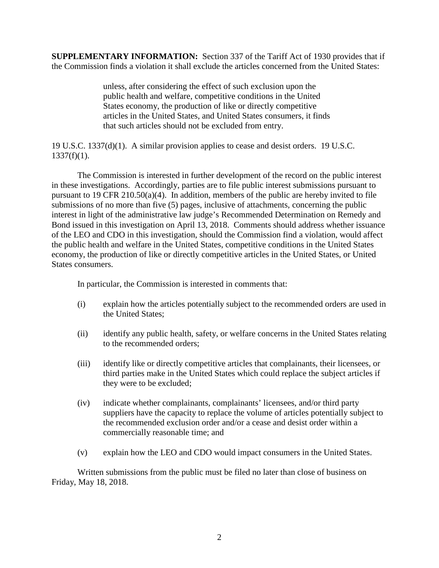**SUPPLEMENTARY INFORMATION:** Section 337 of the Tariff Act of 1930 provides that if the Commission finds a violation it shall exclude the articles concerned from the United States:

> unless, after considering the effect of such exclusion upon the public health and welfare, competitive conditions in the United States economy, the production of like or directly competitive articles in the United States, and United States consumers, it finds that such articles should not be excluded from entry.

19 U.S.C. 1337(d)(1). A similar provision applies to cease and desist orders. 19 U.S.C.  $1337(f)(1)$ .

The Commission is interested in further development of the record on the public interest in these investigations. Accordingly, parties are to file public interest submissions pursuant to pursuant to 19 CFR 210.50(a)(4). In addition, members of the public are hereby invited to file submissions of no more than five (5) pages, inclusive of attachments, concerning the public interest in light of the administrative law judge's Recommended Determination on Remedy and Bond issued in this investigation on April 13, 2018. Comments should address whether issuance of the LEO and CDO in this investigation, should the Commission find a violation, would affect the public health and welfare in the United States, competitive conditions in the United States economy, the production of like or directly competitive articles in the United States, or United States consumers.

In particular, the Commission is interested in comments that:

- (i) explain how the articles potentially subject to the recommended orders are used in the United States;
- (ii) identify any public health, safety, or welfare concerns in the United States relating to the recommended orders;
- (iii) identify like or directly competitive articles that complainants, their licensees, or third parties make in the United States which could replace the subject articles if they were to be excluded;
- (iv) indicate whether complainants, complainants' licensees, and/or third party suppliers have the capacity to replace the volume of articles potentially subject to the recommended exclusion order and/or a cease and desist order within a commercially reasonable time; and
- (v) explain how the LEO and CDO would impact consumers in the United States.

Written submissions from the public must be filed no later than close of business on Friday, May 18, 2018.